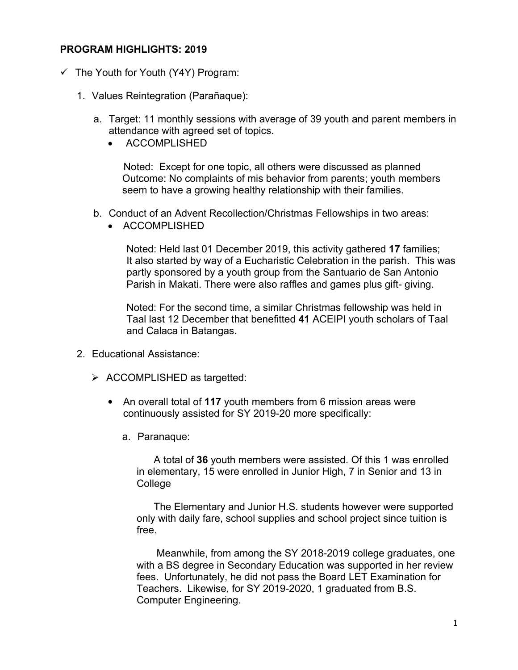## **PROGRAM HIGHLIGHTS: 2019**

- $\checkmark$  The Youth for Youth (Y4Y) Program:
	- 1. Values Reintegration (Parañaque):
		- a. Target: 11 monthly sessions with average of 39 youth and parent members in attendance with agreed set of topics.
			- ACCOMPLISHED

Noted: Except for one topic, all others were discussed as planned Outcome: No complaints of mis behavior from parents; youth members seem to have a growing healthy relationship with their families.

- b. Conduct of an Advent Recollection/Christmas Fellowships in two areas:
	- ACCOMPLISHED

Noted: Held last 01 December 2019, this activity gathered **17** families; It also started by way of a Eucharistic Celebration in the parish. This was partly sponsored by a youth group from the Santuario de San Antonio Parish in Makati. There were also raffles and games plus gift- giving.

 Noted: For the second time, a similar Christmas fellowship was held in Taal last 12 December that benefitted **41** ACEIPI youth scholars of Taal and Calaca in Batangas.

- 2. Educational Assistance:
	- $\triangleright$  ACCOMPLISHED as targetted:
		- An overall total of **117** youth members from 6 mission areas were continuously assisted for SY 2019-20 more specifically:
			- a. Paranaque:

A total of **36** youth members were assisted. Of this 1 was enrolled in elementary, 15 were enrolled in Junior High, 7 in Senior and 13 in College

The Elementary and Junior H.S. students however were supported only with daily fare, school supplies and school project since tuition is free.

 Meanwhile, from among the SY 2018-2019 college graduates, one with a BS degree in Secondary Education was supported in her review fees. Unfortunately, he did not pass the Board LET Examination for Teachers. Likewise, for SY 2019-2020, 1 graduated from B.S. Computer Engineering.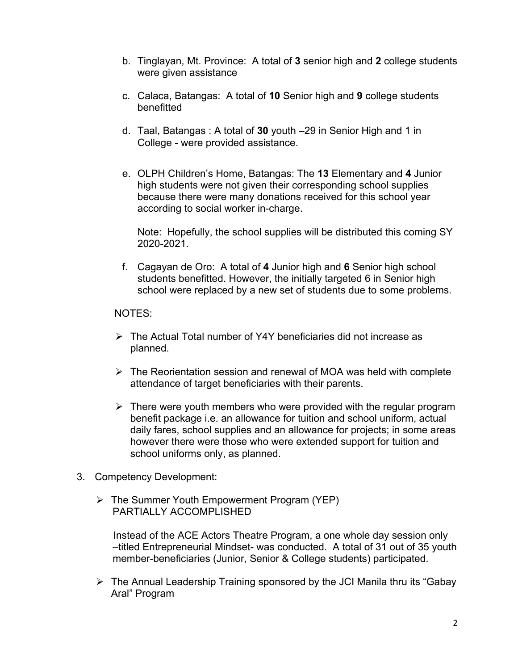- b. Tinglayan, Mt. Province: A total of **3** senior high and **2** college students were given assistance
- c. Calaca, Batangas: A total of **10** Senior high and **9** college students benefitted
- d. Taal, Batangas : A total of **30** youth –29 in Senior High and 1 in College - were provided assistance.
- e. OLPH Children's Home, Batangas: The **13** Elementary and **4** Junior high students were not given their corresponding school supplies because there were many donations received for this school year according to social worker in-charge.

Note: Hopefully, the school supplies will be distributed this coming SY 2020-2021.

f. Cagayan de Oro: A total of **4** Junior high and **6** Senior high school students benefitted. However, the initially targeted 6 in Senior high school were replaced by a new set of students due to some problems.

NOTES:

- The Actual Total number of Y4Y beneficiaries did not increase as planned.
- $\triangleright$  The Reorientation session and renewal of MOA was held with complete attendance of target beneficiaries with their parents.
- $\triangleright$  There were youth members who were provided with the regular program benefit package i.e. an allowance for tuition and school uniform, actual daily fares, school supplies and an allowance for projects; in some areas however there were those who were extended support for tuition and school uniforms only, as planned.
- 3. Competency Development:
	- $\triangleright$  The Summer Youth Empowerment Program (YEP) PARTIALLY ACCOMPLISHED

Instead of the ACE Actors Theatre Program, a one whole day session only –titled Entrepreneurial Mindset- was conducted. A total of 31 out of 35 youth member-beneficiaries (Junior, Senior & College students) participated.

 $\triangleright$  The Annual Leadership Training sponsored by the JCI Manila thru its "Gabay" Aral" Program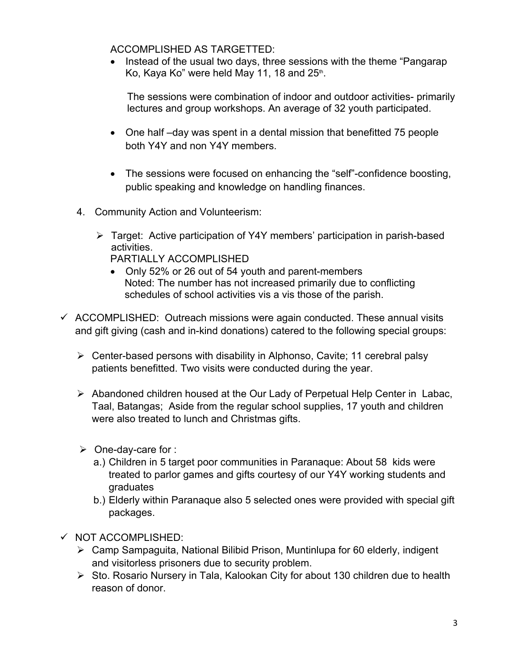ACCOMPLISHED AS TARGETTED:

• Instead of the usual two days, three sessions with the theme "Pangarap" Ko, Kaya Ko" were held May 11, 18 and  $25<sup>th</sup>$ . .

 The sessions were combination of indoor and outdoor activities- primarily lectures and group workshops. An average of 32 youth participated.

- One half –day was spent in a dental mission that benefitted 75 people both Y4Y and non Y4Y members.
- The sessions were focused on enhancing the "self"-confidence boosting, public speaking and knowledge on handling finances.
- 4. Community Action and Volunteerism:
	- Target: Active participation of Y4Y members' participation in parish-based activities.

PARTIALLY ACCOMPLISHED

- Only 52% or 26 out of 54 youth and parent-members Noted: The number has not increased primarily due to conflicting schedules of school activities vis a vis those of the parish.
- $\checkmark$  ACCOMPLISHED: Outreach missions were again conducted. These annual visits and gift giving (cash and in-kind donations) catered to the following special groups:
	- $\triangleright$  Center-based persons with disability in Alphonso, Cavite: 11 cerebral palsy patients benefitted. Two visits were conducted during the year.
	- Abandoned children housed at the Our Lady of Perpetual Help Center in Labac, Taal, Batangas; Aside from the regular school supplies, 17 youth and children were also treated to lunch and Christmas gifts.
	- $\triangleright$  One-day-care for :
		- a.) Children in 5 target poor communities in Paranaque: About 58 kids were treated to parlor games and gifts courtesy of our Y4Y working students and graduates
		- b.) Elderly within Paranaque also 5 selected ones were provided with special gift packages.
- $\checkmark$  NOT ACCOMPLISHED:
	- Camp Sampaguita, National Bilibid Prison, Muntinlupa for 60 elderly, indigent and visitorless prisoners due to security problem.
	- $\triangleright$  Sto. Rosario Nursery in Tala, Kalookan City for about 130 children due to health reason of donor.